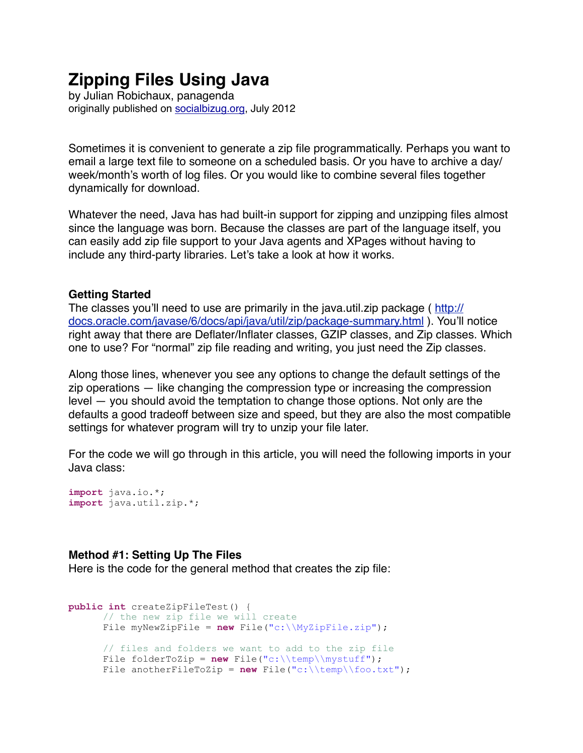# **Zipping Files Using Java**

by Julian Robichaux, panagenda originally published on [socialbizug.org](http://socialbizug.org), July 2012

Sometimes it is convenient to generate a zip file programmatically. Perhaps you want to email a large text file to someone on a scheduled basis. Or you have to archive a day/ week/month's worth of log files. Or you would like to combine several files together dynamically for download.

Whatever the need, Java has had built-in support for zipping and unzipping files almost since the language was born. Because the classes are part of the language itself, you can easily add zip file support to your Java agents and XPages without having to include any third-party libraries. Let's take a look at how it works.

### **Getting Started**

The classes you'll need to use are primarily in the java.util.zip package ( [http://](http://docs.oracle.com/javase/6/docs/api/java/util/zip/package-summary.html) [docs.oracle.com/javase/6/docs/api/java/util/zip/package-summary.html](http://docs.oracle.com/javase/6/docs/api/java/util/zip/package-summary.html) ). You'll notice right away that there are Deflater/Inflater classes, GZIP classes, and Zip classes. Which one to use? For "normal" zip file reading and writing, you just need the Zip classes.

Along those lines, whenever you see any options to change the default settings of the zip operations — like changing the compression type or increasing the compression level — you should avoid the temptation to change those options. Not only are the defaults a good tradeoff between size and speed, but they are also the most compatible settings for whatever program will try to unzip your file later.

For the code we will go through in this article, you will need the following imports in your Java class:

```
import java.io.*; 
import java.util.zip.*;
```
#### **Method #1: Setting Up The Files**

Here is the code for the general method that creates the zip file:

```
public int createZipFileTest() { 
      // the new zip file we will create
       File myNewZipFile = new File("c:\\MyZipFile.zip"); 
      // files and folders we want to add to the zip file
      File folderToZip = new File("c:\\temp\\mystuff");
      File anotherFileToZip = new File("c:\\temp\\foo.txt");
```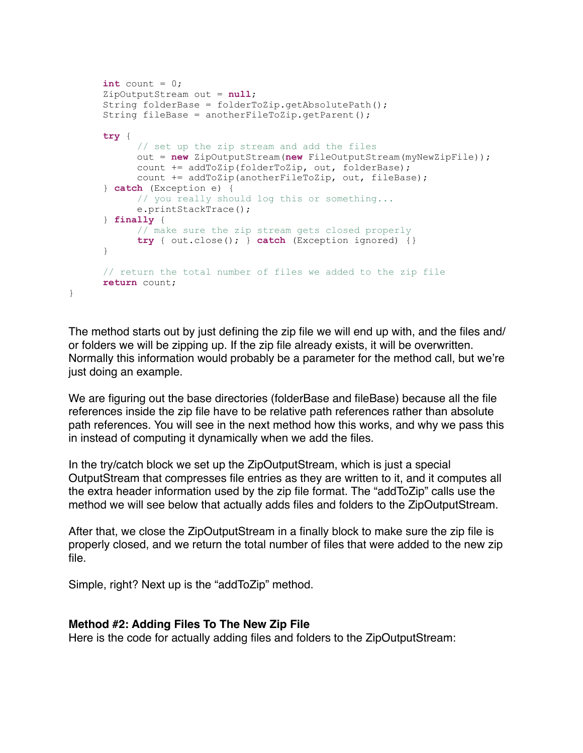```
\text{int count} = 0; ZipOutputStream out = null; 
 String folderBase = folderToZip.getAbsolutePath(); 
 String fileBase = anotherFileToZip.getParent(); 
try { 
       // set up the zip stream and add the files
       out = new ZipOutputStream(new FileOutputStream(myNewZipFile)); 
       count += addToZip(folderToZip, out, folderBase); 
       count += addToZip(anotherFileToZip, out, fileBase); 
 } catch (Exception e) { 
       // you really should log this or something...
       e.printStackTrace(); 
 } finally { 
       // make sure the zip stream gets closed properly
       try { out.close(); } catch (Exception ignored) {} 
 } 
// return the total number of files we added to the zip file
return count;
```
The method starts out by just defining the zip file we will end up with, and the files and/ or folders we will be zipping up. If the zip file already exists, it will be overwritten. Normally this information would probably be a parameter for the method call, but we're just doing an example.

We are figuring out the base directories (folderBase and fileBase) because all the file references inside the zip file have to be relative path references rather than absolute path references. You will see in the next method how this works, and why we pass this in instead of computing it dynamically when we add the files.

In the try/catch block we set up the ZipOutputStream, which is just a special OutputStream that compresses file entries as they are written to it, and it computes all the extra header information used by the zip file format. The "addToZip" calls use the method we will see below that actually adds files and folders to the ZipOutputStream.

After that, we close the ZipOutputStream in a finally block to make sure the zip file is properly closed, and we return the total number of files that were added to the new zip file.

Simple, right? Next up is the "addToZip" method.

}

## **Method #2: Adding Files To The New Zip File**

Here is the code for actually adding files and folders to the ZipOutputStream: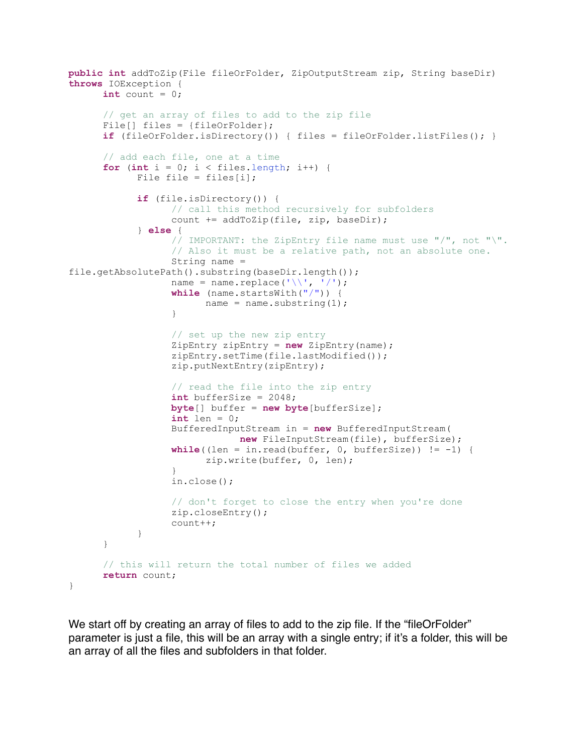```
public int addToZip(File fileOrFolder, ZipOutputStream zip, String baseDir) 
throws IOException { 
      int count = 0;
      // get an array of files to add to the zip file
      File[] files = {fileOrFolder};
      if (fileOrFolder.isDirectory()) { files = fileOrFolder.listFiles(); } 
      // add each file, one at a time
      for (int i = 0; i < files.length; i++) {
            File file = files[i];
             if (file.isDirectory()) { 
                   // call this method recursively for subfolders
                   count += addToZip(file, zip, baseDir); 
             } else { 
                   // IMPORTANT: the ZipEntry file name must use "/", not "\".
                   // Also it must be a relative path, not an absolute one.
                   String name = 
file.getAbsolutePath().substring(baseDir.length()); 
                  name = name.replace('\\', '/');
                   while (name.startsWith("/")) { 
                       name = name.substring(1); } 
                   // set up the new zip entry
                   ZipEntry zipEntry = new ZipEntry(name); 
                   zipEntry.setTime(file.lastModified()); 
                   zip.putNextEntry(zipEntry); 
                   // read the file into the zip entry
                   int bufferSize = 2048; 
                   byte[] buffer = new byte[bufferSize]; 
                  int len = 0; BufferedInputStream in = new BufferedInputStream( 
                              new FileInputStream(file), bufferSize); 
                  while ((len = in.read(buffer, 0, bufferSize)) != -1) {
                         zip.write(buffer, 0, len); 
 } 
                   in.close(); 
                   // don't forget to close the entry when you're done
                   zip.closeEntry(); 
                   count++; 
 } 
       } 
      // this will return the total number of files we added
      return count; 
}
```
We start off by creating an array of files to add to the zip file. If the "fileOrFolder" parameter is just a file, this will be an array with a single entry; if it's a folder, this will be an array of all the files and subfolders in that folder.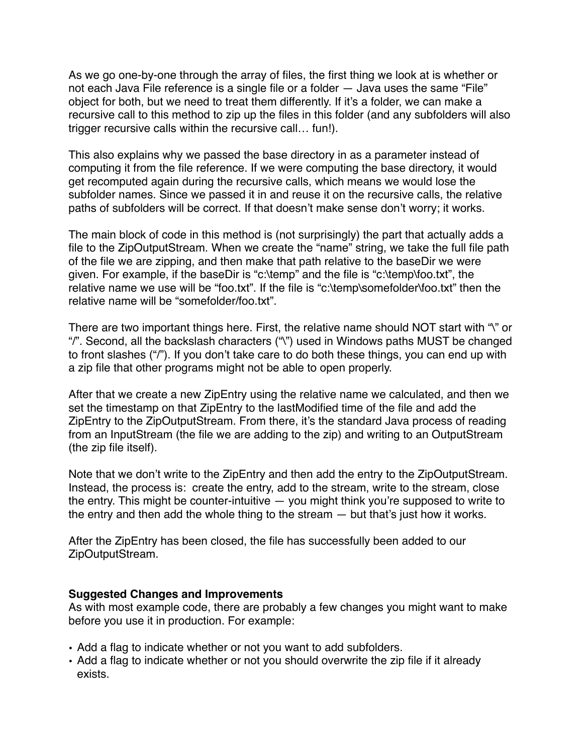As we go one-by-one through the array of files, the first thing we look at is whether or not each Java File reference is a single file or a folder — Java uses the same "File" object for both, but we need to treat them differently. If it's a folder, we can make a recursive call to this method to zip up the files in this folder (and any subfolders will also trigger recursive calls within the recursive call… fun!).

This also explains why we passed the base directory in as a parameter instead of computing it from the file reference. If we were computing the base directory, it would get recomputed again during the recursive calls, which means we would lose the subfolder names. Since we passed it in and reuse it on the recursive calls, the relative paths of subfolders will be correct. If that doesn't make sense don't worry; it works.

The main block of code in this method is (not surprisingly) the part that actually adds a file to the ZipOutputStream. When we create the "name" string, we take the full file path of the file we are zipping, and then make that path relative to the baseDir we were given. For example, if the baseDir is "c:\temp" and the file is "c:\temp\foo.txt", the relative name we use will be "foo.txt". If the file is "c:\temp\somefolder\foo.txt" then the relative name will be "somefolder/foo.txt".

There are two important things here. First, the relative name should NOT start with "\" or "/". Second, all the backslash characters ("\") used in Windows paths MUST be changed to front slashes ("/"). If you don't take care to do both these things, you can end up with a zip file that other programs might not be able to open properly.

After that we create a new ZipEntry using the relative name we calculated, and then we set the timestamp on that ZipEntry to the lastModified time of the file and add the ZipEntry to the ZipOutputStream. From there, it's the standard Java process of reading from an InputStream (the file we are adding to the zip) and writing to an OutputStream (the zip file itself).

Note that we don't write to the ZipEntry and then add the entry to the ZipOutputStream. Instead, the process is: create the entry, add to the stream, write to the stream, close the entry. This might be counter-intuitive — you might think you're supposed to write to the entry and then add the whole thing to the stream — but that's just how it works.

After the ZipEntry has been closed, the file has successfully been added to our ZipOutputStream.

#### **Suggested Changes and Improvements**

As with most example code, there are probably a few changes you might want to make before you use it in production. For example:

- Add a flag to indicate whether or not you want to add subfolders.
- Add a flag to indicate whether or not you should overwrite the zip file if it already exists.